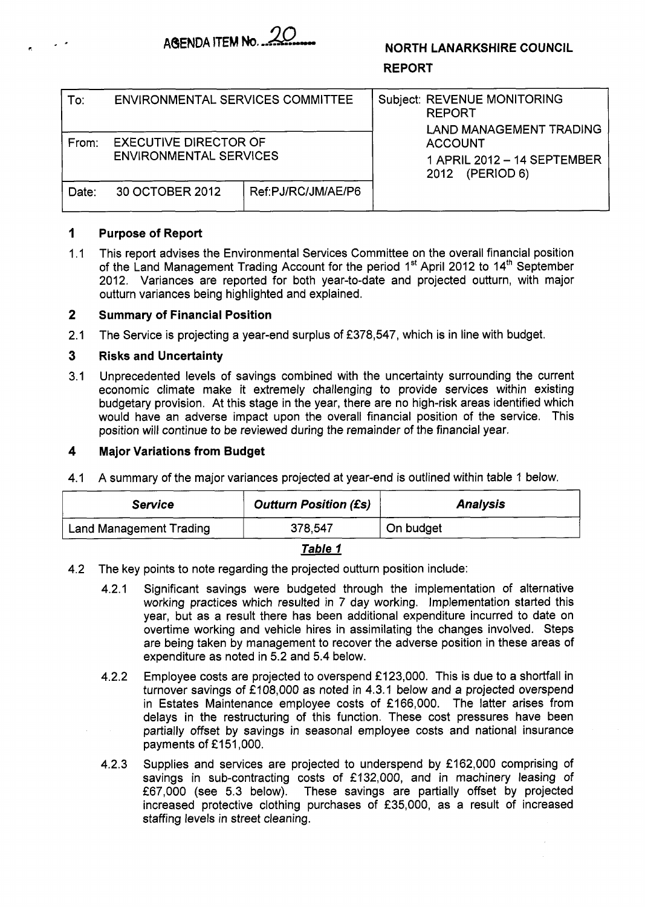

# **NORTH LANARKSHIRE COUNCIL**

## **REPORT**

| To:   | <b>ENVIRONMENTAL SERVICES COMMITTEE</b>                       |                    | <b>Subject: REVENUE MONITORING</b><br>REPORT<br><b>LAND MANAGEMENT TRADING</b> |
|-------|---------------------------------------------------------------|--------------------|--------------------------------------------------------------------------------|
| From: | <b>EXECUTIVE DIRECTOR OF</b><br><b>ENVIRONMENTAL SERVICES</b> |                    | <b>ACCOUNT</b><br>1 APRIL 2012 - 14 SEPTEMBER<br>(PERIOD 6)<br>2012            |
| Date: | 30 OCTOBER 2012                                               | Ref:PJ/RC/JM/AE/P6 |                                                                                |

#### **1 Purpose of Report**

.\* **r.** 

 $1.1$ This report advises the Environmental Services Committee on the overall financial position of the Land Management Trading Account for the period 1<sup>st</sup> April 2012 to 14<sup>th</sup> September 2012. Variances are reported for both year-to-date and projected outturn, with major outturn variances being highlighted and explained.

#### **2 Summary of Financial Position**

2.1 The Service is projecting a year-end surplus of £378,547, which is in line with budget.

#### **3 Risks and Uncertainty**

3.1 Unprecedented levels of savings combined with the uncertainty surrounding the current economic climate make it extremely challenging to provide services within existing budgetary provision. At this stage in the year, there are no high-risk areas identified which would have an adverse impact upon the overall financial position of the service. This position will continue to be reviewed during the remainder of the financial year.

#### **4 Major Variations from Budget**

4. I A summary of the major variances projected at year-end is outlined within table 1 below.

| <b>Service</b>          | <b>Outturn Position (£s)</b> | <b>Analysis</b> |
|-------------------------|------------------------------|-----------------|
| Land Management Trading | 378,547                      | On budget       |

## Table 1

- 4.2 The key points to note regarding the projected outturn position include:
	- Significant savings were budgeted through the implementation of alternative  $4.2.1$ working practices which resulted in 7 day working. Implementation started this year, but as a result there has been additional expenditure incurred to date on overtime working and vehicle hires in assimilating the changes involved. Steps are being taken by management to recover the adverse position in these areas of expenditure as noted in 5.2 and 5.4 below.
	- $4.2.2$ Employee costs are projected to overspend £123,000. This is due to a shortfall in turnover savings of £108,000 as noted in 4.3.1 below and a projected overspend in Estates Maintenance employee costs of £166,000. The latter arises from delays in the restructuring of this function. These cost pressures have been partially offset by savings in seasonal employee costs and national insurance payments of £151,000.
	- Supplies and services are projected to underspend by £162,000 comprising of  $4.2.3$ savings in sub-contracting costs of £132,000, and in machinery leasing of £67,000 (see 5.3 below). These savings are partially offset by projected increased protective clothing purchases of £35,000, as a result of increased staffing levels in street cleaning.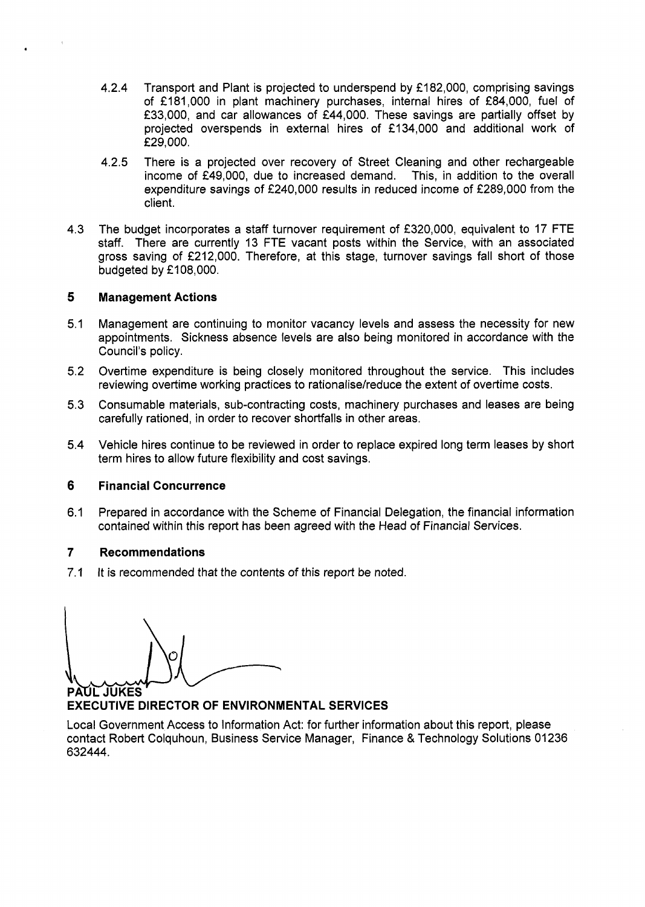- 4.2.4 Transport and Plant is projected to underspend by €182,000, comprising savings of €181,000 in plant machinery purchases, internal hires of €84,000, fuel of €33,000, and car allowances of €44,000. These savings are partially offset by projected overspends in external hires of €1 34,000 and additional work of €29,000.
- There is a projected over recovery of Street Cleaning and other rechargeable income of £49.000, due to increased demand. This, in addition to the overall  $income$  of  $£49,000$ , due to increased demand. expenditure savings of €240,000 results in reduced income of €289,000 from the client. 4.2.5
- 4.3 The budget incorporates a staff turnover requirement of €320,000, equivalent to 17 FTE staff. There are currently 13 FTE vacant posts within the Service, with an associated gross saving of €212,000. Therefore, at this stage, turnover savings fall short of those budgeted by £108,000.

# **5 Management Actions**

- 5.1 Management are continuing to monitor vacancy levels and assess the necessity for new appointments. Sickness absence levels are also being monitored in accordance with the Council's policy.
- Overtime expenditure is being closely monitored throughout the service. This includes reviewing overtime working practices to rationalise/reduce the extent of overtime costs. 5.2
- Consumable materials, sub-contracting costs, machinery purchases and leases are being carefully rationed, in order to recover shortfalls in other areas. 5.3
- 5.4 Vehicle hires continue to be reviewed in order to replace expired long term leases by short term hires to allow future flexibility and cost savings.

# **6 Financial Concurrence**

6.1 Prepared in accordance with the Scheme of Financial Delegation, the financial information contained within this report has been agreed with the Head of Financial Services.

# **7 Recommendations**

7.1 It is recommended that the contents of this report be noted.

**PAUL JUKES** 

**EXECUTIVE DIRECTOR OF ENVIRONMENTAL SERVICES** 

Local Government Access to Information Act: for further information about this report, please contact Robert Colquhoun, Business Service Manager, Finance & Technology Solutions 01236 632444.